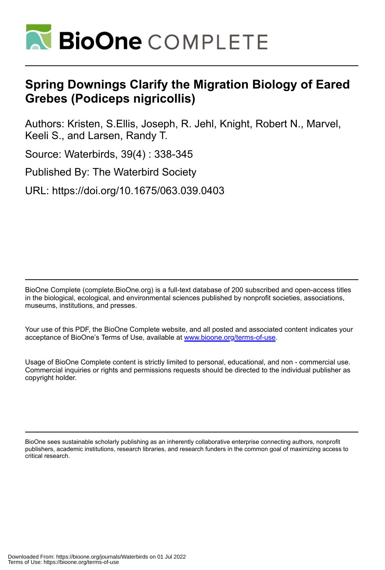

# **Spring Downings Clarify the Migration Biology of Eared Grebes (Podiceps nigricollis)**

Authors: Kristen, S.Ellis, Joseph, R. Jehl, Knight, Robert N., Marvel, Keeli S., and Larsen, Randy T.

Source: Waterbirds, 39(4) : 338-345

Published By: The Waterbird Society

URL: https://doi.org/10.1675/063.039.0403

BioOne Complete (complete.BioOne.org) is a full-text database of 200 subscribed and open-access titles in the biological, ecological, and environmental sciences published by nonprofit societies, associations, museums, institutions, and presses.

Your use of this PDF, the BioOne Complete website, and all posted and associated content indicates your acceptance of BioOne's Terms of Use, available at www.bioone.org/terms-of-use.

Usage of BioOne Complete content is strictly limited to personal, educational, and non - commercial use. Commercial inquiries or rights and permissions requests should be directed to the individual publisher as copyright holder.

BioOne sees sustainable scholarly publishing as an inherently collaborative enterprise connecting authors, nonprofit publishers, academic institutions, research libraries, and research funders in the common goal of maximizing access to critical research.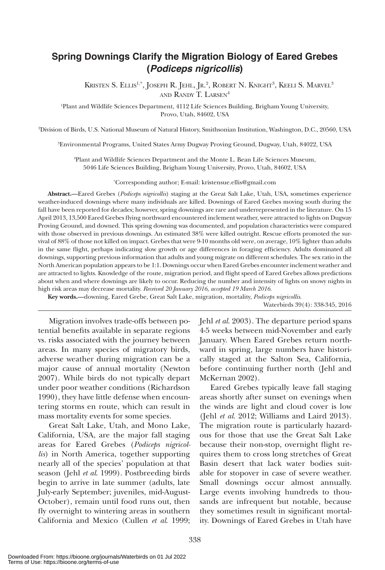# **Spring Downings Clarify the Migration Biology of Eared Grebes (***Podiceps nigricollis***)**

Kristen S. Ellis<sup>1,\*</sup>, Joseph R. Jehl, Jr.<sup>2</sup>, Robert N. Knight<sup>3</sup>, Keeli S. Marvel<sup>3</sup> and Randy T. Larsen4

1 Plant and Wildlife Sciences Department, 4112 Life Sciences Building, Brigham Young University, Provo, Utah, 84602, USA

2 Division of Birds, U.S. National Museum of Natural History, Smithsonian Institution, Washington, D.C., 20560, USA

3 Environmental Programs, United States Army Dugway Proving Ground, Dugway, Utah, 84022, USA

4 Plant and Wildlife Sciences Department and the Monte L. Bean Life Sciences Museum, 5046 Life Sciences Building, Brigham Young University, Provo, Utah, 84602, USA

\* Corresponding author; E-mail: kristensue.ellis@gmail.com

**Abstract.—**Eared Grebes (*Podiceps nigricollis*) staging at the Great Salt Lake, Utah, USA, sometimes experience weather-induced downings where many individuals are killed. Downings of Eared Grebes moving south during the fall have been reported for decades; however, spring downings are rare and underrepresented in the literature. On 15 April 2013, 13,500 Eared Grebes flying northward encountered inclement weather, were attracted to lights on Dugway Proving Ground, and downed. This spring downing was documented, and population characteristics were compared with those observed in previous downings. An estimated 38% were killed outright. Rescue efforts promoted the survival of 88% of those not killed on impact. Grebes that were 9-10 months old were, on average, 10% lighter than adults in the same flight, perhaps indicating slow growth or age differences in foraging efficiency. Adults dominated all downings, supporting previous information that adults and young migrate on different schedules. The sex ratio in the North American population appears to be 1:1. Downings occur when Eared Grebes encounter inclement weather and are attracted to lights. Knowledge of the route, migration period, and flight speed of Eared Grebes allows predictions about when and where downings are likely to occur. Reducing the number and intensity of lights on snowy nights in high risk areas may decrease mortality. *Received 20 January 2016, accepted 19 March 2016.*

**Key words.—**downing, Eared Grebe, Great Salt Lake, migration, mortality, *Podiceps nigricollis*.

Waterbirds 39(4): 338-345, 2016

Migration involves trade-offs between potential benefits available in separate regions vs. risks associated with the journey between areas. In many species of migratory birds, adverse weather during migration can be a major cause of annual mortality (Newton 2007). While birds do not typically depart under poor weather conditions (Richardson 1990), they have little defense when encountering storms en route, which can result in mass mortality events for some species.

Great Salt Lake, Utah, and Mono Lake, California, USA, are the major fall staging areas for Eared Grebes (*Podiceps nigricollis*) in North America, together supporting nearly all of the species' population at that season (Jehl *et al*. 1999). Postbreeding birds begin to arrive in late summer (adults, late July-early September; juveniles, mid-August-October), remain until food runs out, then fly overnight to wintering areas in southern California and Mexico (Cullen *et al*. 1999;

Jehl *et al*. 2003). The departure period spans 4-5 weeks between mid-November and early January. When Eared Grebes return northward in spring, large numbers have historically staged at the Salton Sea, California, before continuing further north (Jehl and McKernan 2002).

Eared Grebes typically leave fall staging areas shortly after sunset on evenings when the winds are light and cloud cover is low (Jehl *et al*. 2012; Williams and Laird 2013). The migration route is particularly hazardous for those that use the Great Salt Lake because their non-stop, overnight flight requires them to cross long stretches of Great Basin desert that lack water bodies suitable for stopover in case of severe weather. Small downings occur almost annually. Large events involving hundreds to thousands are infrequent but notable, because they sometimes result in significant mortality. Downings of Eared Grebes in Utah have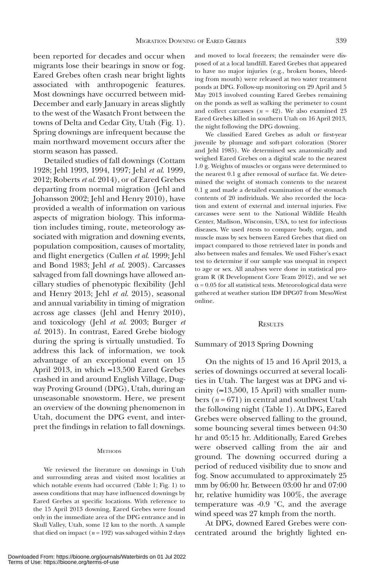been reported for decades and occur when migrants lose their bearings in snow or fog. Eared Grebes often crash near bright lights associated with anthropogenic features. Most downings have occurred between mid-December and early January in areas slightly to the west of the Wasatch Front between the towns of Delta and Cedar City, Utah (Fig. 1). Spring downings are infrequent because the main northward movement occurs after the storm season has passed.

Detailed studies of fall downings (Cottam 1928; Jehl 1993, 1994, 1997; Jehl *et al*. 1999, 2012; Roberts *et al*. 2014), or of Eared Grebes departing from normal migration (Jehl and Johansson 2002; Jehl and Henry 2010), have provided a wealth of information on various aspects of migration biology. This information includes timing, route, meteorology associated with migration and downing events, population composition, causes of mortality, and flight energetics (Cullen *et al*. 1999; Jehl and Bond 1983; Jehl *et al*. 2003). Carcasses salvaged from fall downings have allowed ancillary studies of phenotypic flexibility (Jehl and Henry 2013; Jehl *et al*. 2015), seasonal and annual variability in timing of migration across age classes (Jehl and Henry 2010), and toxicology (Jehl *et al*. 2003; Burger *et al*. 2013). In contrast, Eared Grebe biology during the spring is virtually unstudied. To address this lack of information, we took advantage of an exceptional event on 15 April 2013, in which ≈13,500 Eared Grebes crashed in and around English Village, Dugway Proving Ground (DPG), Utah, during an unseasonable snowstorm. Here, we present an overview of the downing phenomenon in Utah, document the DPG event, and interpret the findings in relation to fall downings.

#### **METHODS**

We reviewed the literature on downings in Utah and surrounding areas and visited most localities at which notable events had occurred (Table 1; Fig. 1) to assess conditions that may have influenced downings by Eared Grebes at specific locations. With reference to the 15 April 2013 downing, Eared Grebes were found only in the immediate area of the DPG entrance and in Skull Valley, Utah, some 12 km to the north. A sample that died on impact  $(n = 192)$  was salvaged within 2 days

and moved to local freezers; the remainder were disposed of at a local landfill. Eared Grebes that appeared to have no major injuries (e.g., broken bones, bleeding from mouth) were released at two water treatment ponds at DPG. Follow-up monitoring on 29 April and 5 May 2013 involved counting Eared Grebes remaining on the ponds as well as walking the perimeter to count and collect carcasses  $(n = 42)$ . We also examined 23 Eared Grebes killed in southern Utah on 16 April 2013, the night following the DPG downing.

We classified Eared Grebes as adult or first-year juvenile by plumage and soft-part coloration (Storer and Jehl 1985). We determined sex anatomically and weighed Eared Grebes on a digital scale to the nearest 1.0 g. Weights of muscles or organs were determined to the nearest 0.1 g after removal of surface fat. We determined the weight of stomach contents to the nearest 0.1 g and made a detailed examination of the stomach contents of 20 individuals. We also recorded the location and extent of external and internal injuries. Five carcasses were sent to the National Wildlife Health Center, Madison, Wisconsin, USA, to test for infectious diseases. We used *t*-tests to compare body, organ, and muscle mass by sex between Eared Grebes that died on impact compared to those retrieved later in ponds and also between males and females. We used Fisher's exact test to determine if our sample was unequal in respect to age or sex. All analyses were done in statistical program R (R Development Core Team 2012), and we set  $\alpha$  = 0.05 for all statistical tests. Meteorological data were gathered at weather station ID# DPG07 from MesoWest online.

#### **RESULTS**

## Summary of 2013 Spring Downing

On the nights of 15 and 16 April 2013, a series of downings occurred at several localities in Utah. The largest was at DPG and vicinity ( $\approx$ 13,500, 15 April) with smaller numbers (*n* = 671) in central and southwest Utah the following night (Table 1). At DPG, Eared Grebes were observed falling to the ground, some bouncing several times between 04:30 hr and 05:15 hr. Additionally, Eared Grebes were observed calling from the air and ground. The downing occurred during a period of reduced visibility due to snow and fog. Snow accumulated to approximately 25 mm by 06:00 hr. Between 03:00 hr and 07:00 hr, relative humidity was 100%, the average temperature was -0.9 °C, and the average wind speed was 27 kmph from the north.

At DPG, downed Eared Grebes were concentrated around the brightly lighted en-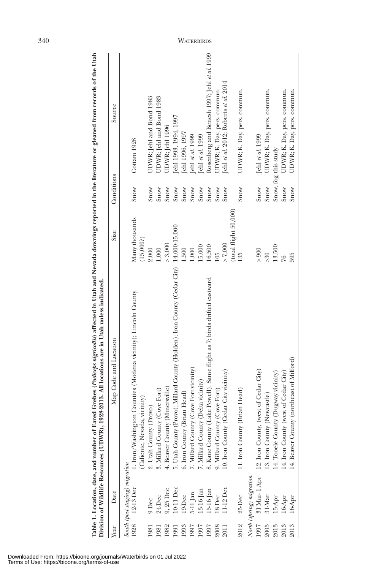| South (post-staging) migration<br>1928 12-13 Dec 1.1<br>North (spring) migration<br>31 Mar-1 Apr<br>11-12 Dec<br>10-11 Dec<br>$9,25$ Dec<br>15-16 Jan<br>$13-16$ Jan<br>$5-11$ an<br>25-Dec<br>8Dec<br>.9-Dec<br>24-Dec<br>$31-Mar$<br>9 Dec<br>2012<br>1997<br>1982<br>1993<br>1997<br>1997<br>1997<br>2008<br>981<br>1981<br>2011<br>1991 | Map Code and Location                                                                         | <b>Size</b>                | Conditions | Source                                      |
|---------------------------------------------------------------------------------------------------------------------------------------------------------------------------------------------------------------------------------------------------------------------------------------------------------------------------------------------|-----------------------------------------------------------------------------------------------|----------------------------|------------|---------------------------------------------|
|                                                                                                                                                                                                                                                                                                                                             |                                                                                               |                            |            |                                             |
|                                                                                                                                                                                                                                                                                                                                             | 1. Iron/Washington Counties (Modena vicinity); Lincoln County<br>(Caliente, Nevada, vicinity) | Many thousands<br>(15,000) | Snow       | Cottam 1928                                 |
|                                                                                                                                                                                                                                                                                                                                             | 2. Utah County (Provo)                                                                        | 2,000                      | Snow       | UDWR; Jehl and Bond 1983                    |
|                                                                                                                                                                                                                                                                                                                                             | 3. Millard County (Cove Fort)                                                                 | 1,000                      | Snow       | UDWR; Jehl and Bond 1983                    |
|                                                                                                                                                                                                                                                                                                                                             | 4. Beaver County (Minersville)                                                                | > 3,000                    | Snow       | UDWR; Jehl 1996                             |
|                                                                                                                                                                                                                                                                                                                                             | 5. Utah County (Provo); Millard County (Holden); Iron County (Cedar City) 14,000-15,000       |                            | Snow       | Jehl 1993, 1994, 1997                       |
|                                                                                                                                                                                                                                                                                                                                             | 6. Iron County (Brian Head)                                                                   | 1,500                      | Snow       | Jehl 1996, 1997                             |
|                                                                                                                                                                                                                                                                                                                                             | 7. Millard County (Cove Fort vicinity)                                                        | 1,000                      | Snow       | Jehl et al. 1999                            |
|                                                                                                                                                                                                                                                                                                                                             | 7. Millard County (Delta vicinity)                                                            | 15,000                     | Snow       | Jehl et al. 1999                            |
|                                                                                                                                                                                                                                                                                                                                             | 8. Kane County (Lake Powell). Same flight as 7; birds drifted eastward                        | 16,500                     | Snow       | Rosenberg and Benesh 1997; Jehl et al. 1999 |
|                                                                                                                                                                                                                                                                                                                                             | 9. Millard County (Cove Fort)                                                                 | 10 <sub>5</sub>            | Snow       | UDWR; K. Day, pers. commun.                 |
|                                                                                                                                                                                                                                                                                                                                             | City vicinity)<br>10. Iron County (Cedar                                                      | > 7,000                    | Snow       | Jehl et al. 2012; Roberts et al. 2014       |
|                                                                                                                                                                                                                                                                                                                                             |                                                                                               | (total flight 50,000)      |            |                                             |
| 2005                                                                                                                                                                                                                                                                                                                                        | 11. Iron County (Brian Head)                                                                  | 135                        | Snow       | UDWR; K. Day, pers. commun.                 |
|                                                                                                                                                                                                                                                                                                                                             |                                                                                               |                            |            |                                             |
|                                                                                                                                                                                                                                                                                                                                             | 12. Iron County, (west of Cedar City)                                                         | $>900$                     | Snow       | Jehl et al. 1999                            |
|                                                                                                                                                                                                                                                                                                                                             | .3. Iron County (Newcastle)                                                                   | > 30                       | Snow       | UDWR; K. Day, pers. commun.                 |
| 15-Apr<br>2013                                                                                                                                                                                                                                                                                                                              | 14. Tooele County (Dugway vicinity)                                                           | 13,500                     |            | Snow, fog this study                        |
| 16-Apr<br>2013                                                                                                                                                                                                                                                                                                                              | 14. Iron County (west of Cedar City)                                                          | 26                         | Snow       | UDWR; K. Day, pers. commun.                 |
| 16-Apr<br>2013                                                                                                                                                                                                                                                                                                                              | 14. Beaver County (northeast of Milford)                                                      | 595                        | Snow       | UDWR; K. Day, pers. commun.                 |

# Downloaded From: https://bioone.org/journals/Waterbirds on 01 Jul 2022 Terms of Use: https://bioone.org/terms-of-use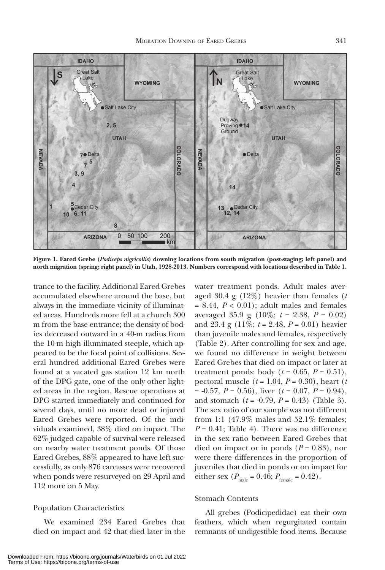

**Figure 1. Eared Grebe (***Podiceps nigricollis***) downing locations from south migration (post-staging; left panel) and north migration (spring; right panel) in Utah, 1928-2013. Numbers correspond with locations described in Table 1.**

trance to the facility. Additional Eared Grebes accumulated elsewhere around the base, but always in the immediate vicinity of illuminated areas. Hundreds more fell at a church 300 m from the base entrance; the density of bodies decreased outward in a 40-m radius from the 10-m high illuminated steeple, which appeared to be the focal point of collisions. Several hundred additional Eared Grebes were found at a vacated gas station 12 km north of the DPG gate, one of the only other lighted areas in the region. Rescue operations at DPG started immediately and continued for several days, until no more dead or injured Eared Grebes were reported. Of the individuals examined, 38% died on impact. The 62% judged capable of survival were released on nearby water treatment ponds. Of those Eared Grebes, 88% appeared to have left successfully, as only 876 carcasses were recovered when ponds were resurveyed on 29 April and 112 more on 5 May.

# Population Characteristics

We examined 234 Eared Grebes that died on impact and 42 that died later in the

water treatment ponds. Adult males averaged 30.4 g (12%) heavier than females (*t*   $= 8.44, P < 0.01$ ); adult males and females averaged 35.9 g (10%; *t* = 2.38, *P* = 0.02) and 23.4 g  $(11\%, t = 2.48, P = 0.01)$  heavier than juvenile males and females, respectively (Table 2). After controlling for sex and age, we found no difference in weight between Eared Grebes that died on impact or later at treatment ponds: body  $(t = 0.65, P = 0.51)$ , pectoral muscle  $(t = 1.04, P = 0.30)$ , heart  $(t = 1.04, P = 0.30)$  $= -0.57, P = 0.56$ , liver ( $t = 0.07, P = 0.94$ ), and stomach (*t* = -0.79, *P* = 0.43) (Table 3). The sex ratio of our sample was not different from 1:1 (47.9% males and 52.1% females;  $P = 0.41$ ; Table 4). There was no difference in the sex ratio between Eared Grebes that died on impact or in ponds  $(P = 0.83)$ , nor were there differences in the proportion of juveniles that died in ponds or on impact for either sex  $(P_{\text{male}} = 0.46; P_{\text{female}} = 0.42)$ .

# Stomach Contents

All grebes (Podicipedidae) eat their own feathers, which when regurgitated contain remnants of undigestible food items. Because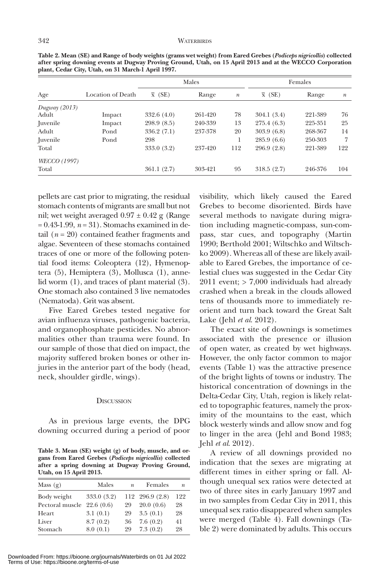|                     |                   |                | Males   |                  |                | Females |                  |
|---------------------|-------------------|----------------|---------|------------------|----------------|---------|------------------|
| Age                 | Location of Death | $\bar{x}$ (SE) | Range   | $\boldsymbol{n}$ | $\bar{x}$ (SE) | Range   | $\boldsymbol{n}$ |
| Dugway $(2013)$     |                   |                |         |                  |                |         |                  |
| Adult               | Impact            | 332.6(4.0)     | 261-420 | 78               | 304.1(3.4)     | 221-389 | 76               |
|                     | Impact            | 298.9(8.5)     | 240-339 | 13               | 275.4(6.3)     | 225-351 | 25               |
| Adult               | Pond              | 336.2(7.1)     | 237-378 | 20               | 303.9(6.8)     | 268-367 | 14               |
| Juvenile            | Pond              | 298            |         |                  | 285.9(6.6)     | 250-303 | 7                |
| Total               |                   | 333.0 (3.2)    | 237-420 | 112              | 296.9 (2.8)    | 221-389 | 122              |
| <i>WECCO</i> (1997) |                   |                |         |                  |                |         |                  |
| Total               |                   | 361.1(2.7)     | 303-421 | 95               | 318.5(2.7)     | 246-376 | 104              |

**Table 2. Mean (SE) and Range of body weights (grams wet weight) from Eared Grebes (***Podiceps nigricollis***) collected after spring downing events at Dugway Proving Ground, Utah, on 15 April 2013 and at the WECCO Corporation plant, Cedar City, Utah, on 31 March-1 April 1997.**

pellets are cast prior to migrating, the residual stomach contents of migrants are small but not nil; wet weight averaged  $0.97 \pm 0.42$  g (Range = 0.43-1.99, *n* = 31). Stomachs examined in detail  $(n = 20)$  contained feather fragments and algae. Seventeen of these stomachs contained traces of one or more of the following potential food items: Coleoptera (12), Hymenoptera (5), Hemiptera (3), Mollusca (1), annelid worm (1), and traces of plant material (3). One stomach also contained 3 live nematodes (Nematoda). Grit was absent.

Five Eared Grebes tested negative for avian influenza viruses, pathogenic bacteria, and organophosphate pesticides. No abnormalities other than trauma were found. In our sample of those that died on impact, the majority suffered broken bones or other injuries in the anterior part of the body (head, neck, shoulder girdle, wings).

### **DISCUSSION**

As in previous large events, the DPG downing occurred during a period of poor

**Table 3. Mean (SE) weight (g) of body, muscle, and organs from Eared Grebes (***Podiceps nigricollis***) collected after a spring downing at Dugway Proving Ground, Utah, on 15 April 2013.**

| Mass $(g)$      | Males       | $\boldsymbol{n}$ | Females         | $\boldsymbol{n}$ |
|-----------------|-------------|------------------|-----------------|------------------|
| Body weight     | 333.0 (3.2) |                  | 112 296.9 (2.8) | 122              |
| Pectoral muscle | 22.6(0.6)   | 29               | 20.0(0.6)       | 28               |
| Heart           | 3.1(0.1)    | 29               | 3.5(0.1)        | 28               |
| Liver           | 8.7(0.2)    | 36               | 7.6(0.2)        | 41               |
| Stomach         | 8.0(0.1)    | 29               | 7.3(0.2)        | 28               |

Downloaded From: https://bioone.org/journals/Waterbirds on 01 Jul 2022 Terms of Use: https://bioone.org/terms-of-use

visibility, which likely caused the Eared Grebes to become disoriented. Birds have several methods to navigate during migration including magnetic-compass, sun-compass, star cues, and topography (Martin 1990; Berthold 2001; Wiltschko and Wiltschko 2009). Whereas all of these are likely available to Eared Grebes, the importance of celestial clues was suggested in the Cedar City 2011 event; > 7,000 individuals had already crashed when a break in the clouds allowed tens of thousands more to immediately reorient and turn back toward the Great Salt Lake (Jehl *et al*. 2012).

The exact site of downings is sometimes associated with the presence or illusion of open water, as created by wet highways. However, the only factor common to major events (Table 1) was the attractive presence of the bright lights of towns or industry. The historical concentration of downings in the Delta-Cedar City, Utah, region is likely related to topographic features, namely the proximity of the mountains to the east, which block westerly winds and allow snow and fog to linger in the area (Jehl and Bond 1983; Jehl *et al*. 2012).

A review of all downings provided no indication that the sexes are migrating at different times in either spring or fall. Although unequal sex ratios were detected at two of three sites in early January 1997 and in two samples from Cedar City in 2011, this unequal sex ratio disappeared when samples were merged (Table 4). Fall downings (Table 2) were dominated by adults. This occurs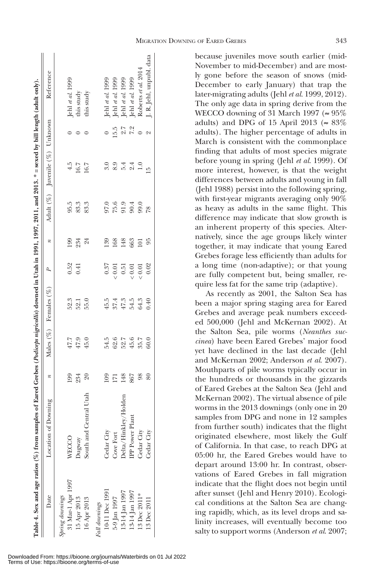| MIGRATION DOWNING OF EARED GREBES | 343 |
|-----------------------------------|-----|
|-----------------------------------|-----|

|                   | Table 4. Sex and age ratios (%) from samples of Eared Grebes (Podiceps nigricollis) downed in Utah in 1991, 1997, 2011, and 2013. * = sexed by bill length (adult only). |                  |                            |                       |                |                  |                      |                                |         |                                                                              |
|-------------------|--------------------------------------------------------------------------------------------------------------------------------------------------------------------------|------------------|----------------------------|-----------------------|----------------|------------------|----------------------|--------------------------------|---------|------------------------------------------------------------------------------|
| Date              | Location of Downing                                                                                                                                                      | $\boldsymbol{n}$ |                            | Males (%) Females (%) | $\overline{b}$ | $\boldsymbol{n}$ |                      | Adult (%) Juvenile (%) Unknown |         | Reference                                                                    |
| Spring downings   |                                                                                                                                                                          |                  |                            |                       |                |                  |                      |                                |         |                                                                              |
| 31 Mar-1 Apr 1997 | <b>WECCO</b>                                                                                                                                                             |                  |                            | 52.3                  | 0.52           | 199              | 95.5                 | 4.5                            |         |                                                                              |
| 15 Apr 2013       | Jugway                                                                                                                                                                   | 199<br>234       | $47.7$<br>$47.9$<br>$45.0$ | 52.1                  | 0.41           | 234<br>24        | 83.3                 | 16.7<br>16.7                   |         | Jehl et al. 1999<br>this study                                               |
| 16 Apr 2013       | Utah<br>South and Centra                                                                                                                                                 | $\mathcal{S}^0$  |                            | 55.0                  |                |                  | 83.3                 |                                |         | this study                                                                   |
| Fall downings     |                                                                                                                                                                          |                  |                            |                       |                |                  |                      |                                |         |                                                                              |
| 10-11 Dec 1991    | Cedar City                                                                                                                                                               | 109              | 54.5                       | 45.5                  | 0.37           | 139              |                      | 3.0                            |         |                                                                              |
| 5-9 Jan 1997      | <b>Cove Fort</b>                                                                                                                                                         | $\overline{171}$ | 62.6                       | 37.4                  | : 0.01         | 168              | 0.6<br>55.6<br>55.63 | 8.9                            | 15.5    | Jehl at al. 1999<br>Jehl at al. 1999<br>Jehl at al. 1999<br>Jehl at al. 1999 |
| 13-14 Jan 1997    | Oelta/Hinkley/Holden                                                                                                                                                     | 148              | 52.7                       | $47.3\,$              | 0.51           | 148              |                      | 5.4                            | 2.7     |                                                                              |
| 13-14 Jan 1997    | PP Power Plant                                                                                                                                                           | 867              | 45.6                       | 54.5                  | : 0.01         | 663              |                      | 2.4                            | 7.2     |                                                                              |
| 13 Dec 2011*      | Cedar City                                                                                                                                                               | 98               | 35.7                       | 64.3                  | (0.01)         | 101              |                      | 1.0                            | $\circ$ | Roberts et al. 2014                                                          |
| 13 Dec 2011       | Cedar City                                                                                                                                                               | 80               | 60.0                       | 0.40                  | 0.02           | 95               | $\overline{28}$      | Ğ                              |         | J. R. Jehl, unpubl. data                                                     |
|                   |                                                                                                                                                                          |                  |                            |                       |                |                  |                      |                                |         |                                                                              |

τĒ.

because juveniles move south earlier (mid-November to mid-December) and are mostly gone before the season of snows (mid-December to early January) that trap the later-migrating adults (Jehl *et al*. 1999, 2012). The only age data in spring derive from the WECCO downing of 31 March 1997 ( $\approx 95\%$ ) adults) and DPG of 15 April 2013 ( $\approx 83\%$ adults). The higher percentage of adults in March is consistent with the commonplace finding that adults of most species migrate before young in spring (Jehl *et al*. 1999). Of more interest, however, is that the weight differences between adults and young in fall (Jehl 1988) persist into the following spring, with first-year migrants averaging only 90% as heavy as adults in the same flight. This difference may indicate that slow growth is an inherent property of this species. Alternatively, since the age groups likely winter together, it may indicate that young Eared Grebes forage less efficiently than adults for a long time (non-adaptive); or that young are fully competent but, being smaller, require less fat for the same trip (adaptive).

As recently as 2001, the Salton Sea has been a major spring staging area for Eared Grebes and average peak numbers exceeded 500,000 (Jehl and McKernan 2002). At the Salton Sea, pile worms (*Neanthes succinea*) have been Eared Grebes' major food yet have declined in the last decade (Jehl and McKernan 2002; Anderson *et al*. 2007). Mouthparts of pile worms typically occur in the hundreds or thousands in the gizzards of Eared Grebes at the Salton Sea (Jehl and McKernan 2002). The virtual absence of pile worms in the 2013 downings (only one in 20 samples from DPG and none in 12 samples from further south) indicates that the flight originated elsewhere, most likely the Gulf of California. In that case, to reach DPG at 05:00 hr, the Eared Grebes would have to depart around 13:00 hr. In contrast, observations of Eared Grebes in fall migration indicate that the flight does not begin until after sunset (Jehl and Henry 2010). Ecological conditions at the Salton Sea are changing rapidly, which, as its level drops and salinity increases, will eventually become too salty to support worms (Anderson *et al*. 2007;

Downloaded From: https://bioone.org/journals/Waterbirds on 01 Jul 2022 Terms of Use: https://bioone.org/terms-of-use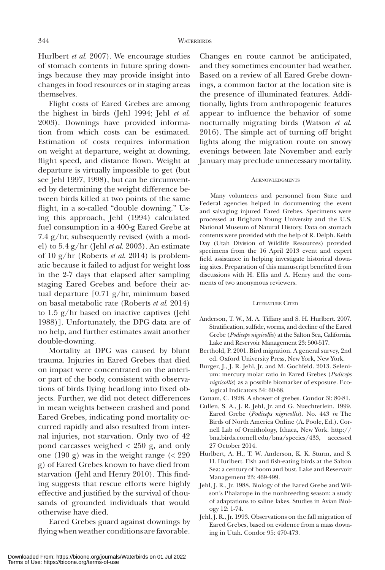Hurlbert *et al.* 2007). We encourage studies of stomach contents in future spring downings because they may provide insight into changes in food resources or in staging areas themselves.

Flight costs of Eared Grebes are among the highest in birds (Jehl 1994; Jehl *et al*. 2003). Downings have provided information from which costs can be estimated. Estimation of costs requires information on weight at departure, weight at downing, flight speed, and distance flown. Weight at departure is virtually impossible to get (but see Jehl 1997, 1998), but can be circumvented by determining the weight difference between birds killed at two points of the same flight, in a so-called "double downing." Using this approach, Jehl (1994) calculated fuel consumption in a 400-g Eared Grebe at 7.4 g/hr, subsequently revised (with a model) to 5.4 g/hr (Jehl *et al*. 2003). An estimate of 10 g/hr (Roberts *et al*. 2014) is problematic because it failed to adjust for weight loss in the 2-7 days that elapsed after sampling staging Eared Grebes and before their actual departure [0.71 g/hr, minimum based on basal metabolic rate (Roberts *et al*. 2014) to 1.5 g/hr based on inactive captives (Jehl 1988)]. Unfortunately, the DPG data are of no help, and further estimates await another double-downing.

Mortality at DPG was caused by blunt trauma. Injuries in Eared Grebes that died on impact were concentrated on the anterior part of the body, consistent with observations of birds flying headlong into fixed objects. Further, we did not detect differences in mean weights between crashed and pond Eared Grebes, indicating pond mortality occurred rapidly and also resulted from internal injuries, not starvation. Only two of 42 pond carcasses weighed < 250 g, and only one (190 g) was in the weight range (< 220 g) of Eared Grebes known to have died from starvation (Jehl and Henry 2010). This finding suggests that rescue efforts were highly effective and justified by the survival of thousands of grounded individuals that would otherwise have died.

Eared Grebes guard against downings by flying when weather conditions are favorable.

Changes en route cannot be anticipated, and they sometimes encounter bad weather. Based on a review of all Eared Grebe downings, a common factor at the location site is the presence of illuminated features. Additionally, lights from anthropogenic features appear to influence the behavior of some nocturnally migrating birds (Watson *et al*. 2016). The simple act of turning off bright lights along the migration route on snowy evenings between late November and early January may preclude unnecessary mortality.

### **ACKNOWLEDGMENTS**

Many volunteers and personnel from State and Federal agencies helped in documenting the event and salvaging injured Eared Grebes. Specimens were processed at Brigham Young University and the U.S. National Museum of Natural History. Data on stomach contents were provided with the help of R. Delph. Keith Day (Utah Division of Wildlife Resources) provided specimens from the 16 April 2013 event and expert field assistance in helping investigate historical downing sites. Preparation of this manuscript benefited from discussions with H. Ellis and A. Henry and the comments of two anonymous reviewers.

#### Literature Cited

- Anderson, T. W., M. A. Tiffany and S. H. Hurlbert. 2007. Stratification, sulfide, worms, and decline of the Eared Grebe (*Podiceps nigricollis*) at the Salton Sea, California. Lake and Reservoir Management 23: 500-517.
- Berthold, P. 2001. Bird migration. A general survey, 2nd ed. Oxford University Press, New York, New York.
- Burger, J., J. R. Jehl, Jr. and M. Gochfeld. 2013. Selenium: mercury molar ratio in Eared Grebes (*Podiceps nigricollis*) as a possible biomarker of exposure. Ecological Indicators 34: 60-68.
- Cottam, C. 1928. A shower of grebes. Condor 3l: 80-81.
- Cullen, S. A., J. R. Jehl, Jr. and G. Nuechterlein. 1999. Eared Grebe (*Podiceps nigricollis*). No. 443 *in* The Birds of North America Online (A. Poole, Ed.). Cornell Lab of Ornithology, Ithaca, New York. http:// bna.birds.cornell.edu/bna/species/433, accessed 27 October 2014.
- Hurlbert, A. H., T. W. Anderson, K. K. Sturm, and S. H. Hurlbert. Fish and fish-eating birds at the Salton Sea: a century of boom and bust. Lake and Reservoir Management 23: 469-499.
- Jehl, J. R., Jr. 1988. Biology of the Eared Grebe and Wilson's Phalarope in the nonbreeding season: a study of adaptations to saline lakes. Studies in Avian Biology 12: 1-74.
- Jehl, J. R., Jr. 1993. Observations on the fall migration of Eared Grebes, based on evidence from a mass downing in Utah. Condor 95: 470-473.